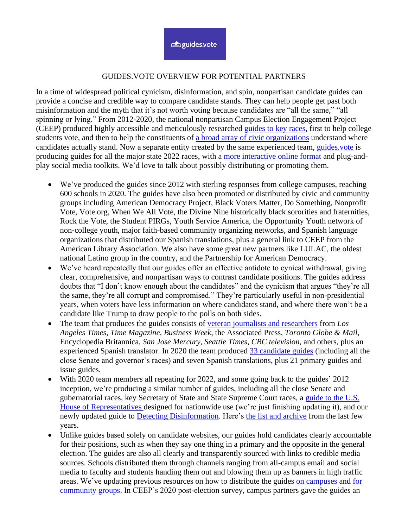## GUIDES.VOTE OVERVIEW FOR POTENTIAL PARTNERS

In a time of widespread political cynicism, disinformation, and spin, nonpartisan candidate guides can provide a concise and credible way to compare candidate stands. They can help people get past both misinformation and the myth that it's not worth voting because candidates are "all the same," "all spinning or lying." From 2012-2020, the national nonpartisan Campus Election Engagement Project (CEEP) produced highly accessible and meticulously researched [guides to key races,](http://www.guides.vote/) first to help college students vote, and then to help the constituents of a broad array of [civic organizations](https://guides.vote/partner-resources) understand where candidates actually stand. Now a separate entity created by the same experienced team, [guides.vote](http://www.guides.vote/) is producing guides for all the major state 2022 races, with a [more interactive online format](https://guides.vote/guide/2021-georgia-us-senate-runoff-candidate-guide) and plug-andplay social media toolkits. We'd love to talk about possibly distributing or promoting them.

- We've produced the guides since 2012 with sterling responses from college campuses, reaching 600 schools in 2020. The guides have also been promoted or distributed by civic and community groups including American Democracy Project, Black Voters Matter, Do Something, Nonprofit Vote, Vote.org, When We All Vote, the Divine Nine historically black sororities and fraternities, Rock the Vote, the Student PIRGs, Youth Service America, the Opportunity Youth network of non-college youth, major faith-based community organizing networks, and Spanish language organizations that distributed our Spanish translations, plus a general link to CEEP from the American Library Association. We also have some great new partners like LULAC, the oldest national Latino group in the country, and the Partnership for American Democracy.
- We've heard repeatedly that our guides offer an effective antidote to cynical withdrawal, giving clear, comprehensive, and nonpartisan ways to contrast candidate positions. The guides address doubts that "I don't know enough about the candidates" and the cynicism that argues "they're all the same, they're all corrupt and compromised." They're particularly useful in non-presidential years, when voters have less information on where candidates stand, and where there won't be a candidate like Trump to draw people to the polls on both sides.
- The team that produces the guides consists of [veteran journalists and researchers](https://guides.vote/about) from *Los Angeles Times*, *Time Magazine*, *Business Week*, the Associated Press, *Toronto Globe & Mail*, Encyclopedia Britannica, *San Jose Mercury*, *Seattle Times, CBC television*, and others, plus an experienced Spanish translator. In 2020 the team produced [33 candidate guides](http://www.guides.vote/) (including all the close Senate and governor's races) and seven Spanish translations, plus 21 primary guides and issue guides.
- With 2020 team members all repeating for 2022, and some going back to the guides' 2012 inception, we're producing a similar number of guides, including all the close Senate and gubernatorial races, key Secretary of State and State Supreme Court races, a [guide to the U.S.](https://guides.vote/wp-content/uploads/2022/03/Congressional-2020-Nonpartisan-Guide-.pdf)  [House of Representatives](https://guides.vote/wp-content/uploads/2022/03/Congressional-2020-Nonpartisan-Guide-.pdf) designed for nationwide use (we're just finishing updating it), and our newly updated guide to [Detecting Disinformation.](https://guides.vote/wp-content/uploads/2022/05/Detecting-Disinformation.pdf) Here's [the list and archive](https://guides.vote/candidate-issue-guides) from the last few years.
- Unlike guides based solely on candidate websites, our guides hold candidates clearly accountable for their positions, such as when they say one thing in a primary and the opposite in the general election. The guides are also all clearly and transparently sourced with links to credible media sources. Schools distributed them through channels ranging from all-campus email and social media to faculty and students handing them out and blowing them up as banners in high traffic areas. We've updating previous resources on how to distribute the guides [on campuses](https://guides.vote/wp-content/uploads/2022/03/Campus-Distribution-Guide.pdf) and [for](https://guides.vote/wp-content/uploads/2022/03/Community-Distribution-Guide.pdf)  [community groups.](https://guides.vote/wp-content/uploads/2022/03/Community-Distribution-Guide.pdf) In CEEP's 2020 post-election survey, campus partners gave the guides an